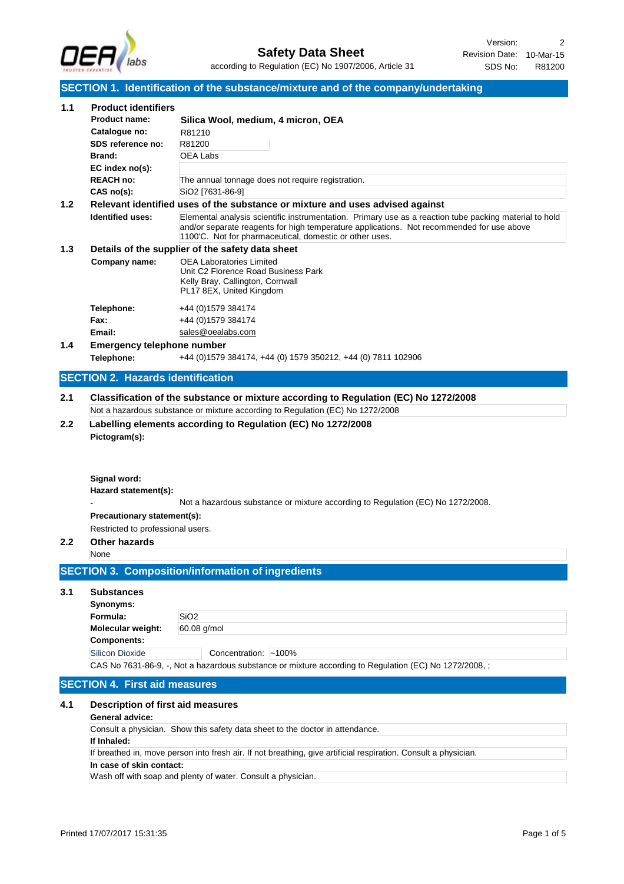

# **SECTION 1. Identification of the substance/mixture and of the company/undertaking**

| 1.1              | <b>Product identifiers</b>                                                                                                                         |                                                                                                                                                                   |
|------------------|----------------------------------------------------------------------------------------------------------------------------------------------------|-------------------------------------------------------------------------------------------------------------------------------------------------------------------|
|                  | <b>Product name:</b>                                                                                                                               | Silica Wool, medium, 4 micron, OEA                                                                                                                                |
|                  | Catalogue no:                                                                                                                                      | R81210                                                                                                                                                            |
|                  | SDS reference no:                                                                                                                                  | R81200                                                                                                                                                            |
|                  | Brand:                                                                                                                                             | OEA Labs                                                                                                                                                          |
|                  | EC index no(s):<br><b>REACH no:</b>                                                                                                                | The annual tonnage does not require registration.                                                                                                                 |
|                  | $CAS$ no(s):                                                                                                                                       | SiO2 [7631-86-9]                                                                                                                                                  |
| 1.2              |                                                                                                                                                    | Relevant identified uses of the substance or mixture and uses advised against                                                                                     |
|                  | Identified uses:                                                                                                                                   | Elemental analysis scientific instrumentation. Primary use as a reaction tube packing material to hold                                                            |
|                  |                                                                                                                                                    | and/or separate reagents for high temperature applications. Not recommended for use above<br>1100°C. Not for pharmaceutical, domestic or other uses.              |
| 1.3              |                                                                                                                                                    | Details of the supplier of the safety data sheet                                                                                                                  |
|                  | Company name:                                                                                                                                      | <b>OEA Laboratories Limited</b><br>Unit C2 Florence Road Business Park<br>Kelly Bray, Callington, Cornwall<br>PL17 8EX, United Kingdom                            |
|                  | Telephone:                                                                                                                                         | +44 (0) 1579 384174                                                                                                                                               |
|                  | Fax:                                                                                                                                               | +44 (0) 1579 384174                                                                                                                                               |
|                  | Email:                                                                                                                                             | sales@oealabs.com                                                                                                                                                 |
| 1.4              | <b>Emergency telephone number</b>                                                                                                                  |                                                                                                                                                                   |
|                  | Telephone:                                                                                                                                         | +44 (0) 1579 384174, +44 (0) 1579 350212, +44 (0) 7811 102906                                                                                                     |
|                  | <b>SECTION 2. Hazards identification</b>                                                                                                           |                                                                                                                                                                   |
| $2.2\phantom{0}$ | Pictogram(s):<br>Signal word:<br>Hazard statement(s):<br>Precautionary statement(s):<br>Restricted to professional users.<br>Other hazards<br>None | Not a hazardous substance or mixture according to Regulation (EC) No 1272/2008.                                                                                   |
|                  |                                                                                                                                                    | <b>SECTION 3. Composition/information of ingredients</b>                                                                                                          |
| 3.1              | <b>Substances</b><br>Synonyms:<br>Formula:<br>Molecular weight:<br><b>Components:</b><br><b>Silicon Dioxide</b>                                    | SiO <sub>2</sub><br>60.08 g/mol<br>Concentration: ~100%<br>CAS No 7631-86-9, -, Not a hazardous substance or mixture according to Regulation (EC) No 1272/2008, ; |
|                  | <b>SECTION 4. First aid measures</b>                                                                                                               |                                                                                                                                                                   |
| 4.1              | Description of first aid measures<br><b>General advice:</b>                                                                                        |                                                                                                                                                                   |
|                  |                                                                                                                                                    | Consult a physician. Show this safety data sheet to the doctor in attendance.                                                                                     |
|                  | If Inhaled:                                                                                                                                        | If breathed in, move person into fresh air. If not breathing, give artificial respiration. Consult a physician.                                                   |
|                  | In case of skin contact:                                                                                                                           |                                                                                                                                                                   |
|                  |                                                                                                                                                    | Wash off with soap and plenty of water. Consult a physician.                                                                                                      |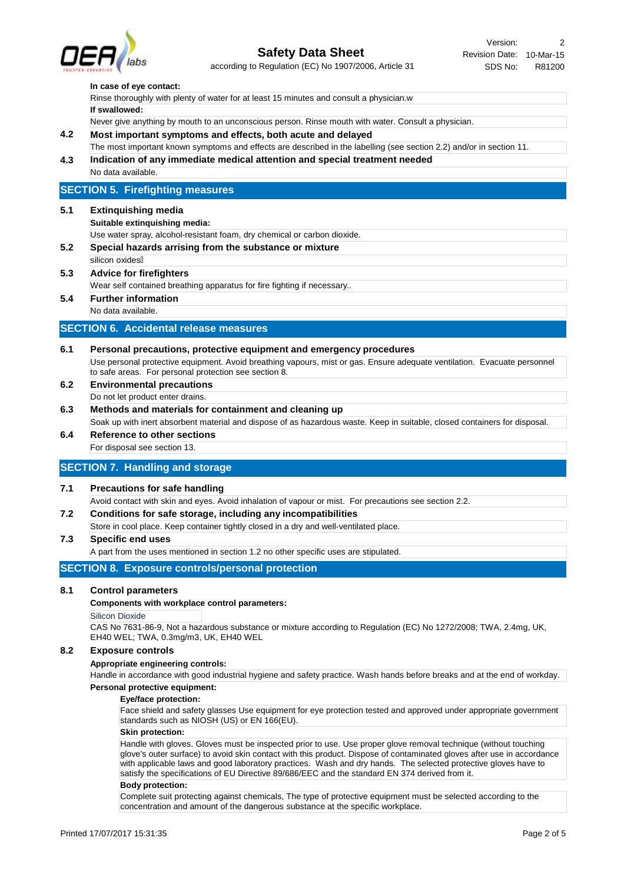

# **Safety Data Sheet**

according to Regulation (EC) No 1907/2006, Article 31

#### **In case of eye contact:**

|  | Rinse thoroughly with plenty of water for at least 15 minutes and consult a physician.w             |
|--|-----------------------------------------------------------------------------------------------------|
|  | If swallowed:                                                                                       |
|  | Never give anything by mouth to an unconscious person. Rinse mouth with water. Consult a physician. |

### **4.2 Most important symptoms and effects, both acute and delayed**

**4.3 Indication of any immediate medical attention and special treatment needed** The most important known symptoms and effects are described in the labelling (see section 2.2) and/or in section 11.

## No data available.

## **SECTION 5. Firefighting measures**

#### **5.1 Extinquishing media**

#### **Suitable extinquishing media:**

Use water spray, alcohol-resistant foam, dry chemical or carbon dioxide.

- **5.2 Special hazards arrising from the substance or mixture**
	- silicon oxides<sup>[]</sup>

# **5.3 Advice for firefighters**

Wear self contained breathing apparatus for fire fighting if necessary..

# **5.4 Further information**

No data available.

### **SECTION 6. Accidental release measures**

# **6.1 Personal precautions, protective equipment and emergency procedures**

Use personal protective equipment. Avoid breathing vapours, mist or gas. Ensure adequate ventilation. Evacuate personnel to safe areas. For personal protection see section 8.

- **6.2 Environmental precautions** Do not let product enter drains.
- **6.3 Methods and materials for containment and cleaning up**
- Soak up with inert absorbent material and dispose of as hazardous waste. Keep in suitable, closed containers for disposal. **6.4 Reference to other sections**

For disposal see section 13.

# **SECTION 7. Handling and storage**

#### **7.1 Precautions for safe handling**

Avoid contact with skin and eyes. Avoid inhalation of vapour or mist. For precautions see section 2.2.

**7.2 Conditions for safe storage, including any incompatibilities**

Store in cool place. Keep container tightly closed in a dry and well-ventilated place.

### **7.3 Specific end uses**

A part from the uses mentioned in section 1.2 no other specific uses are stipulated.

### **SECTION 8. Exposure controls/personal protection**

### **8.1 Control parameters**

#### **Components with workplace control parameters:**

#### Silicon Dioxide

CAS No 7631-86-9, Not a hazardous substance or mixture according to Regulation (EC) No 1272/2008; TWA, 2.4mg, UK, EH40 WEL; TWA, 0.3mg/m3, UK, EH40 WEL

#### **8.2 Exposure controls**

#### **Appropriate engineering controls:**

Handle in accordance with good industrial hygiene and safety practice. Wash hands before breaks and at the end of workday. **Personal protective equipment:**

#### **Eye/face protection:**

Face shield and safety glasses Use equipment for eye protection tested and approved under appropriate government standards such as NIOSH (US) or EN 166(EU).

#### **Skin protection:**

Handle with gloves. Gloves must be inspected prior to use. Use proper glove removal technique (without touching glove's outer surface) to avoid skin contact with this product. Dispose of contaminated gloves after use in accordance with applicable laws and good laboratory practices. Wash and dry hands. The selected protective gloves have to satisfy the specifications of EU Directive 89/686/EEC and the standard EN 374 derived from it.

#### **Body protection:**

Complete suit protecting against chemicals, The type of protective equipment must be selected according to the concentration and amount of the dangerous substance at the specific workplace.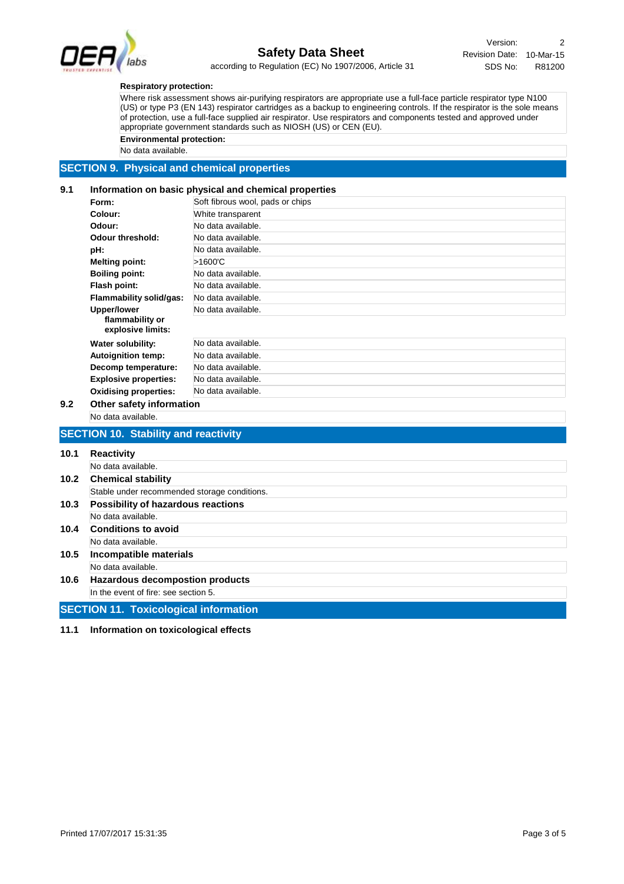

# **Safety Data Sheet**

Revision Date: 10-Mar-15 Version: 2 SDS No: R81200

according to Regulation (EC) No 1907/2006, Article 31

#### **Respiratory protection:**

Where risk assessment shows air-purifying respirators are appropriate use a full-face particle respirator type N100 (US) or type P3 (EN 143) respirator cartridges as a backup to engineering controls. If the respirator is the sole means of protection, use a full-face supplied air respirator. Use respirators and components tested and approved under appropriate government standards such as NIOSH (US) or CEN (EU).

**Environmental protection:**

No data available.

# **SECTION 9. Physical and chemical properties**

#### **9.1 Information on basic physical and chemical properties**

| Form:                                | Soft fibrous wool, pads or chips |
|--------------------------------------|----------------------------------|
| Colour:                              | White transparent                |
| Odour:                               | No data available.               |
| Odour threshold:                     | No data available.               |
| pH:                                  | No data available.               |
| <b>Melting point:</b>                | >1600'C                          |
| <b>Boiling point:</b>                | No data available.               |
| Flash point:                         | No data available.               |
| Flammability solid/gas:              | No data available.               |
| <b>Upper/lower</b>                   | No data available.               |
| flammability or<br>explosive limits: |                                  |
| Water solubility:                    | No data available.               |
| <b>Autoignition temp:</b>            | No data available.               |
| Decomp temperature:                  | No data available.               |
| <b>Explosive properties:</b>         | No data available.               |
| <b>Oxidising properties:</b>         | No data available.               |

### **9.2 Other safety information**

| No data available. |
|--------------------|
|                    |

# **SECTION 10. Stability and reactivity**

| 10.1 | <b>Reactivity</b>                            |
|------|----------------------------------------------|
|      | No data available.                           |
| 10.2 | <b>Chemical stability</b>                    |
|      | Stable under recommended storage conditions. |
| 10.3 | Possibility of hazardous reactions           |
|      | No data available.                           |
| 10.4 | <b>Conditions to avoid</b>                   |
|      | No data available.                           |
| 10.5 | Incompatible materials                       |
|      | No data available.                           |
| 10.6 | Hazardous decompostion products              |
|      | In the event of fire: see section 5.         |
|      | <b>SECTION 11. Toxicological information</b> |

**11.1 Information on toxicological effects**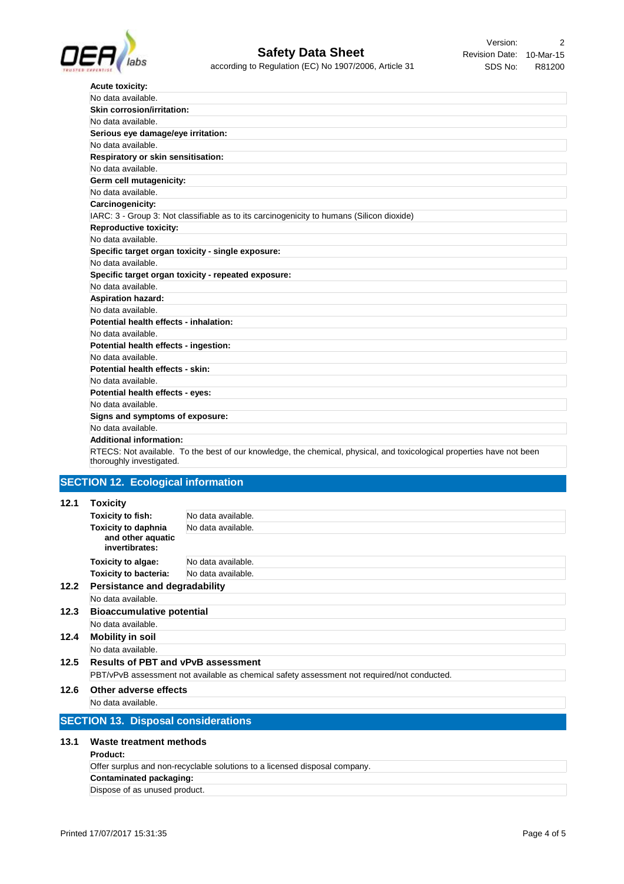

| <b>Acute toxicity:</b>                                                                                                                             |
|----------------------------------------------------------------------------------------------------------------------------------------------------|
| No data available.                                                                                                                                 |
| Skin corrosion/irritation:                                                                                                                         |
| No data available.                                                                                                                                 |
| Serious eye damage/eye irritation:                                                                                                                 |
| No data available.                                                                                                                                 |
| Respiratory or skin sensitisation:                                                                                                                 |
| No data available.                                                                                                                                 |
| Germ cell mutagenicity:                                                                                                                            |
| No data available.                                                                                                                                 |
| Carcinogenicity:                                                                                                                                   |
| IARC: 3 - Group 3: Not classifiable as to its carcinogenicity to humans (Silicon dioxide)                                                          |
| <b>Reproductive toxicity:</b>                                                                                                                      |
| No data available.                                                                                                                                 |
| Specific target organ toxicity - single exposure:                                                                                                  |
| No data available.                                                                                                                                 |
| Specific target organ toxicity - repeated exposure:                                                                                                |
| No data available.                                                                                                                                 |
| <b>Aspiration hazard:</b>                                                                                                                          |
| No data available.                                                                                                                                 |
| Potential health effects - inhalation:                                                                                                             |
| No data available.                                                                                                                                 |
| Potential health effects - ingestion:                                                                                                              |
| No data available.                                                                                                                                 |
| Potential health effects - skin:                                                                                                                   |
| No data available.                                                                                                                                 |
| Potential health effects - eyes:                                                                                                                   |
| No data available.                                                                                                                                 |
| Signs and symptoms of exposure:                                                                                                                    |
| No data available.                                                                                                                                 |
| <b>Additional information:</b>                                                                                                                     |
| RTECS: Not available. To the best of our knowledge, the chemical, physical, and toxicological properties have not been<br>thoroughly investigated. |

# **SECTION 12. Ecological information**

# **12.1 Toxicity**

| <b>Results of PBT and vPvB assessment</b> |  |  |
|-------------------------------------------|--|--|
|                                           |  |  |
|                                           |  |  |
|                                           |  |  |
|                                           |  |  |
|                                           |  |  |

#### **13.1 Waste treatment methods**

## **Product:**

| Offer surplus and non-recyclable solutions to a licensed disposal company. |  |
|----------------------------------------------------------------------------|--|
| Contaminated packaging:                                                    |  |
| Dispose of as unused product.                                              |  |